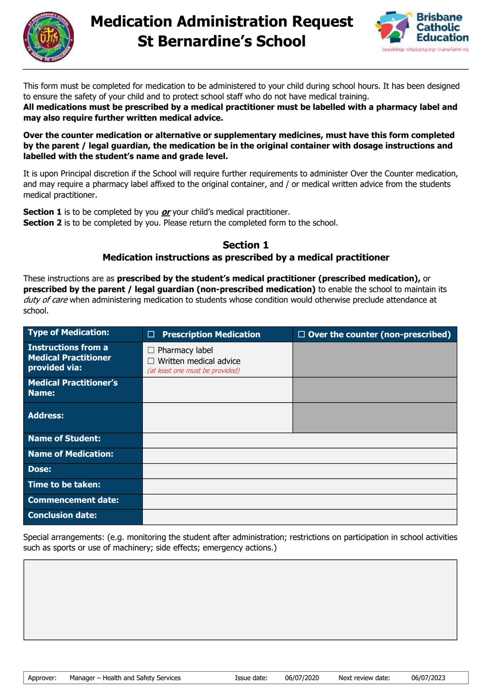



This form must be completed for medication to be administered to your child during school hours. It has been designed to ensure the safety of your child and to protect school staff who do not have medical training.

**All medications must be prescribed by a medical practitioner must be labelled with a pharmacy label and may also require further written medical advice.**

**Over the counter medication or alternative or supplementary medicines, must have this form completed by the parent / legal guardian, the medication be in the original container with dosage instructions and labelled with the student's name and grade level.**

It is upon Principal discretion if the School will require further requirements to administer Over the Counter medication, and may require a pharmacy label affixed to the original container, and / or medical written advice from the students medical practitioner.

**Section 1** is to be completed by you *or* your child's medical practitioner. **Section 2** is to be completed by you. Please return the completed form to the school.

## **Section 1 Medication instructions as prescribed by a medical practitioner**

These instructions are as **prescribed by the student's medical practitioner (prescribed medication),** or **prescribed by the parent / legal guardian (non-prescribed medication)** to enable the school to maintain its duty of care when administering medication to students whose condition would otherwise preclude attendance at school.

| <b>Type of Medication:</b>                                          | <b>Prescription Medication</b><br>$\Box$                                                  | $\Box$ Over the counter (non-prescribed) |
|---------------------------------------------------------------------|-------------------------------------------------------------------------------------------|------------------------------------------|
| Instructions from a<br><b>Medical Practitioner</b><br>provided via: | $\Box$ Pharmacy label<br>$\Box$ Written medical advice<br>(at least one must be provided) |                                          |
| <b>Medical Practitioner's</b><br>Name:                              |                                                                                           |                                          |
| <b>Address:</b>                                                     |                                                                                           |                                          |
| Name of Student:                                                    |                                                                                           |                                          |
| <b>Name of Medication:</b>                                          |                                                                                           |                                          |
| Dose:                                                               |                                                                                           |                                          |
| Time to be taken:                                                   |                                                                                           |                                          |
| <b>Commencement date:</b>                                           |                                                                                           |                                          |
| <b>Conclusion date:</b>                                             |                                                                                           |                                          |

Special arrangements: (e.g. monitoring the student after administration; restrictions on participation in school activities such as sports or use of machinery; side effects; emergency actions.)